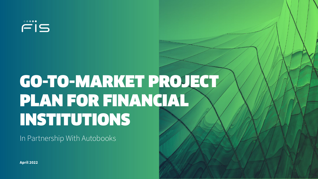$FIS$ 

# GO-TO-MARKET PROJECT PLAN FOR FINANCIAL INSTITUTIONS

In Partnership With Autobooks

**April 2022**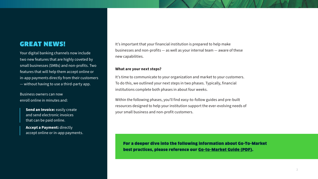# GREAT NEWS!

Your digital banking channels now include two new features that are highly coveted by small businesses (SMBs) and non-profits. Two features that will help them accept online or in-app payments directly from their customers — without having to use a third-party app.

Business owners can now enroll online in minutes and:

> **Send an Invoice: easily create** and send electronic invoices that can be paid online.

**Accept a Payment:** directly accept online or in-app payments. It's important that your financial institution is prepared to help make businesses and non-profits — as well as your internal team — aware of these new capabilities.

#### **What are your next steps?**

It's time to communicate to your organization and market to your customers. To do this, we outlined your next steps in two phases. Typically, financial institutions complete both phases in about four weeks.

Within the following phases, you'll find easy-to-follow guides and pre-built resources designed to help your institution support the ever-evolving needs of your small business and non-profit customers.

For a deeper dive into the following information about Go-To-Market best practices, please reference our [Go-to-Market Guide \(PDF\).](https://content.autobooks.co/hubfs/FIS%20GTM%20Guide%20Assets/GTM%20Guide%20-%20FIS%20SMB%20Embedded%20Finance.pdf)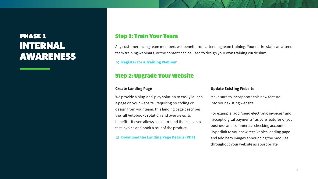# PHASE 1 INTERNAL AWARENESS

# Step 1: Train Your Team

Any customer-facing team members will benefit from attending team training. Your entire staff can attend team training webinars, or the content can be used to design your own training curriculum.

**[Register for a Training Webinar](https://learn.autobooks.co/training-fis)** 忆

# Step 2: Upgrade Your Website

#### **Create Landing Page**

We provide a plug-and-play solution to easily launch a page on your website. Requiring no coding or design from your team, this landing page describes the full Autobooks solution and overviews its benefits. It even allows a user to send themselves a test invoice and book a tour of the product.

**[Download the Landing Page Details \(PDF\)](https://content.autobooks.co/hubfs/FIS%20GTM%20Guide%20Assets/AB%20Landing%20Page%20Doc.pdf)** 囨

#### **Update Existing Website**

Make sure to incorporate this new feature into your existing website.

For example, add "send electronic invoices" and "accept digital payments" as core features of your business and commercial checking accounts. Hyperlink to your new receivables landing page and add hero images announcing the modules throughout your website as appropriate.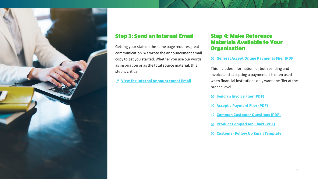

# Step 3: Send an Internal Email

Getting your staff on the same page requires great communication. We wrote the announcement email copy to get you started. Whether you use our words as inspiration or as the total source material, this step is critical.

**[View the Internal Announcement Email](http://autobooks-9344165.hs-sites.com/introducing-new-small-business-features-in-online-banking)** 卒

# Step 4: Make Reference Materials Available to Your **Organization**

#### **[General Accept Online Payments Flier \(PDF\)](https://content.autobooks.co/hubfs/FIS%20Training%20Guide%20Assets/FIS%20-%20Receivables%20Flyer.pdf)**

This includes information for both sending and invoice and accepting a payment. It is often used when financial institutions only want one flier at the branch level.

- **[Send an Invoice Flier \(PDF\)](https://content.autobooks.co/hubfs/FIS%20Training%20Guide%20Assets/FIS%20-%20Send%20an%20Invoice%20-%208.5x11.pdf)**
- **[Accept a Payment Flier \(PDF\)](https://content.autobooks.co/hubfs/FIS%20Training%20Guide%20Assets/FIS%20-%20Accept%20a%20Payment%20-%208.5x11.pdf)**
- **[Common Customer Questions \(PDF\)](https://content.autobooks.co/hubfs/FIS%20Training%20Guide%20Assets/FIS%20-%20Send%20Invoice_Accept%20Payments%20Common%20Consumer%20Questions.pdf)**
- **[Product Comparison Chart \(PDF\)](https://content.autobooks.co/hubfs/comparisonChart.pdf)**
- **[Customer Follow Up Email Template](http://autobooks-9344165.hs-sites.com/fi-banker-customer-blast-follow-up)**